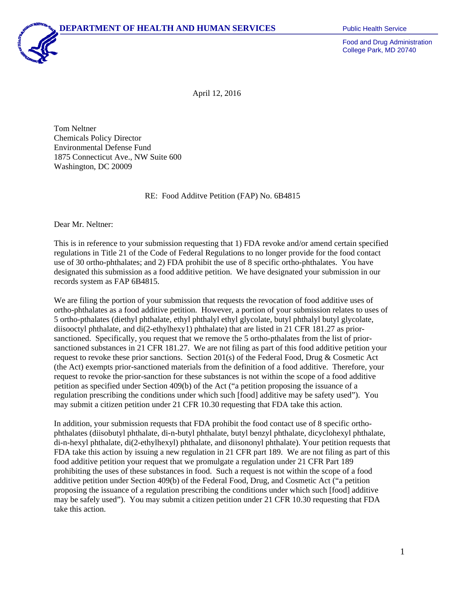

Food and Drug Administration College Park, MD 20740

April 12, 2016

Tom Neltner Chemicals Policy Director Environmental Defense Fund 1875 Connecticut Ave., NW Suite 600 Washington, DC 20009

RE: Food Additve Petition (FAP) No. 6B4815

Dear Mr. Neltner:

This is in reference to your submission requesting that 1) FDA revoke and/or amend certain specified regulations in Title 21 of the Code of Federal Regulations to no longer provide for the food contact use of 30 ortho-phthalates; and 2) FDA prohibit the use of 8 specific ortho-phthalates. You have designated this submission as a food additive petition. We have designated your submission in our records system as FAP 6B4815.

We are filing the portion of your submission that requests the revocation of food additive uses of ortho-phthalates as a food additive petition. However, a portion of your submission relates to uses of 5 ortho-pthalates (diethyl phthalate, ethyl phthalyl ethyl glycolate, butyl phthalyl butyl glycolate, diisooctyl phthalate, and di(2-ethylhexy1) phthalate) that are listed in 21 CFR 181.27 as priorsanctioned. Specifically, you request that we remove the 5 ortho-pthalates from the list of priorsanctioned substances in 21 CFR 181.27. We are not filing as part of this food additive petition your request to revoke these prior sanctions. Section 201(s) of the Federal Food, Drug & Cosmetic Act (the Act) exempts prior-sanctioned materials from the definition of a food additive. Therefore, your request to revoke the prior-sanction for these substances is not within the scope of a food additive petition as specified under Section 409(b) of the Act ("a petition proposing the issuance of a regulation prescribing the conditions under which such [food] additive may be safety used"). You may submit a citizen petition under 21 CFR 10.30 requesting that FDA take this action.

In addition, your submission requests that FDA prohibit the food contact use of 8 specific orthophthalates (diisobutyl phthalate, di-n-butyl phthalate, butyl benzyl phthalate, dicyclohexyl phthalate, di-n-hexyl phthalate, di(2-ethylhexyl) phthalate, and diisononyl phthalate). Your petition requests that FDA take this action by issuing a new regulation in 21 CFR part 189. We are not filing as part of this food additive petition your request that we promulgate a regulation under 21 CFR Part 189 prohibiting the uses of these substances in food. Such a request is not within the scope of a food additive petition under Section 409(b) of the Federal Food, Drug, and Cosmetic Act ("a petition proposing the issuance of a regulation prescribing the conditions under which such [food] additive may be safely used"). You may submit a citizen petition under 21 CFR 10.30 requesting that FDA take this action.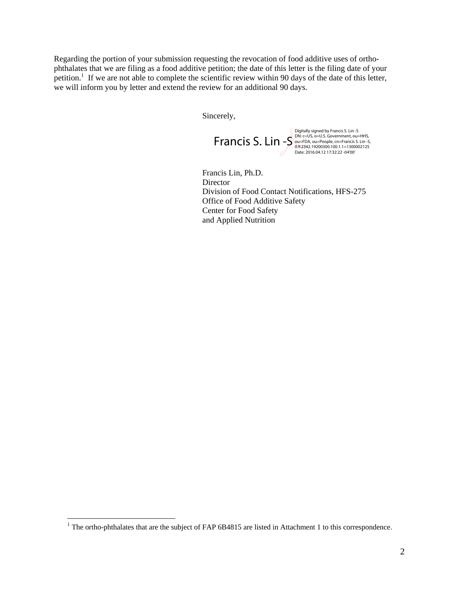Regarding the portion of your submission requesting the revocation of food additive uses of orthophthalates that we are filing as a food additive petition; the date of this letter is the filing date of your petition.<sup>1</sup> If we are not able to complete the scientific review within 90 days of the date of this letter, we will inform you by letter and extend the review for an additional 90 days.

Sincerely,

 $\text{Francis } \text{S. } \text{Lin} \text{-S}^{\text{DK: c=US, o=U.S. Government, ou=HHS, \nS. Lin-S, O=ST42.19200300.100.1.1=1300002125}$ Digitally signed by Francis S. Lin -S Date: 2016.04.12 17:32:22 -04'00'

Francis Lin, Ph.D. **Director** Division of Food Contact Notifications, HFS-275 Office of Food Additive Safety Center for Food Safety and Applied Nutrition

 $\overline{a}$ 

<sup>&</sup>lt;sup>1</sup> The ortho-phthalates that are the subject of FAP 6B4815 are listed in Attachment 1 to this correspondence.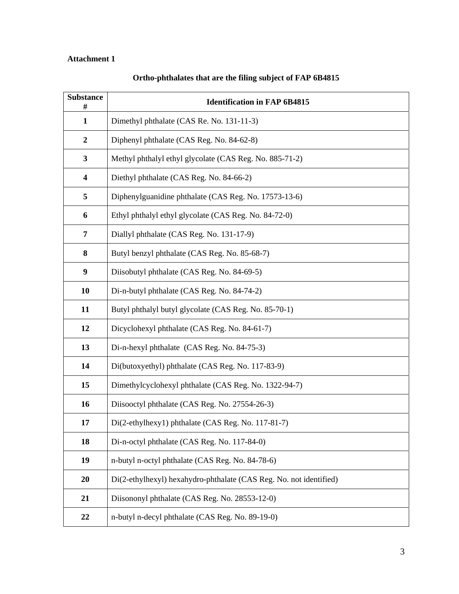## **Attachment 1**

| <b>Substance</b><br>#   | <b>Identification in FAP 6B4815</b>                                |
|-------------------------|--------------------------------------------------------------------|
| $\mathbf{1}$            | Dimethyl phthalate (CAS Re. No. 131-11-3)                          |
| $\boldsymbol{2}$        | Diphenyl phthalate (CAS Reg. No. 84-62-8)                          |
| $\mathbf{3}$            | Methyl phthalyl ethyl glycolate (CAS Reg. No. 885-71-2)            |
| $\overline{\mathbf{4}}$ | Diethyl phthalate (CAS Reg. No. 84-66-2)                           |
| 5                       | Diphenylguanidine phthalate (CAS Reg. No. 17573-13-6)              |
| 6                       | Ethyl phthalyl ethyl glycolate (CAS Reg. No. 84-72-0)              |
| $\overline{7}$          | Diallyl phthalate (CAS Reg. No. 131-17-9)                          |
| 8                       | Butyl benzyl phthalate (CAS Reg. No. 85-68-7)                      |
| 9                       | Diisobutyl phthalate (CAS Reg. No. 84-69-5)                        |
| 10                      | Di-n-butyl phthalate (CAS Reg. No. 84-74-2)                        |
| 11                      | Butyl phthalyl butyl glycolate (CAS Reg. No. 85-70-1)              |
| 12                      | Dicyclohexyl phthalate (CAS Reg. No. 84-61-7)                      |
| 13                      | Di-n-hexyl phthalate (CAS Reg. No. 84-75-3)                        |
| 14                      | Di(butoxyethyl) phthalate (CAS Reg. No. 117-83-9)                  |
| 15                      | Dimethylcyclohexyl phthalate (CAS Reg. No. 1322-94-7)              |
| 16                      | Diisooctyl phthalate (CAS Reg. No. 27554-26-3)                     |
| 17                      | Di(2-ethylhexy1) phthalate (CAS Reg. No. 117-81-7)                 |
| 18                      | Di-n-octyl phthalate (CAS Reg. No. 117-84-0)                       |
| 19                      | n-butyl n-octyl phthalate (CAS Reg. No. 84-78-6)                   |
| 20                      | Di(2-ethylhexyl) hexahydro-phthalate (CAS Reg. No. not identified) |
| 21                      | Diisononyl phthalate (CAS Reg. No. 28553-12-0)                     |
| 22                      | n-butyl n-decyl phthalate (CAS Reg. No. 89-19-0)                   |

## **Ortho-phthalates that are the filing subject of FAP 6B4815**